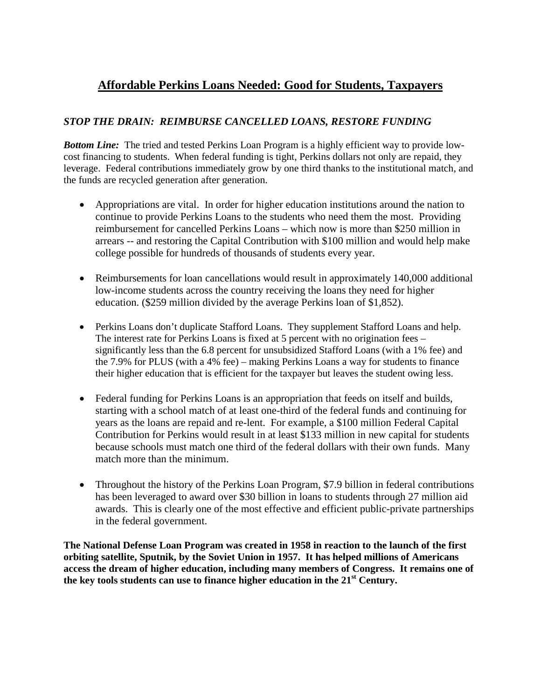## **Affordable Perkins Loans Needed: Good for Students, Taxpayers**

## *STOP THE DRAIN: REIMBURSE CANCELLED LOANS, RESTORE FUNDING*

*Bottom Line:* The tried and tested Perkins Loan Program is a highly efficient way to provide lowcost financing to students. When federal funding is tight, Perkins dollars not only are repaid, they leverage. Federal contributions immediately grow by one third thanks to the institutional match, and the funds are recycled generation after generation.

- Appropriations are vital. In order for higher education institutions around the nation to continue to provide Perkins Loans to the students who need them the most. Providing reimbursement for cancelled Perkins Loans – which now is more than \$250 million in arrears -- and restoring the Capital Contribution with \$100 million and would help make college possible for hundreds of thousands of students every year.
- Reimbursements for loan cancellations would result in approximately 140,000 additional low-income students across the country receiving the loans they need for higher education. (\$259 million divided by the average Perkins loan of \$1,852).
- Perkins Loans don't duplicate Stafford Loans. They supplement Stafford Loans and help. The interest rate for Perkins Loans is fixed at 5 percent with no origination fees – significantly less than the 6.8 percent for unsubsidized Stafford Loans (with a 1% fee) and the 7.9% for PLUS (with a 4% fee) – making Perkins Loans a way for students to finance their higher education that is efficient for the taxpayer but leaves the student owing less.
- Federal funding for Perkins Loans is an appropriation that feeds on itself and builds, starting with a school match of at least one-third of the federal funds and continuing for years as the loans are repaid and re-lent. For example, a \$100 million Federal Capital Contribution for Perkins would result in at least \$133 million in new capital for students because schools must match one third of the federal dollars with their own funds. Many match more than the minimum.
- Throughout the history of the Perkins Loan Program, \$7.9 billion in federal contributions has been leveraged to award over \$30 billion in loans to students through 27 million aid awards. This is clearly one of the most effective and efficient public-private partnerships in the federal government.

**The National Defense Loan Program was created in 1958 in reaction to the launch of the first orbiting satellite, Sputnik, by the Soviet Union in 1957. It has helped millions of Americans access the dream of higher education, including many members of Congress. It remains one of the key tools students can use to finance higher education in the 21st Century.**